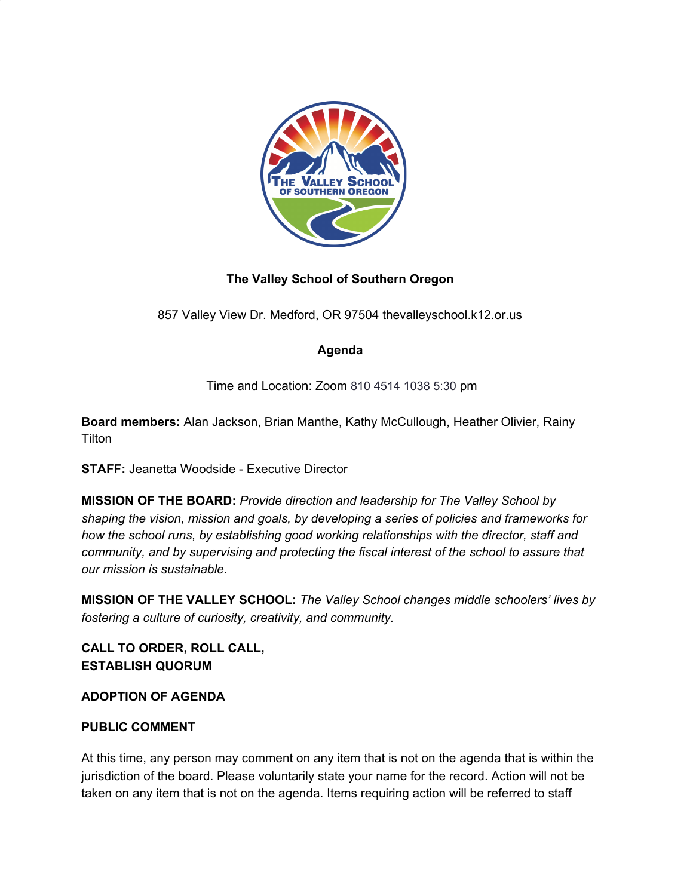

# **The Valley School of Southern Oregon**

857 Valley View Dr. Medford, OR 97504 thevalleyschool.k12.or.us

## **Agenda**

Time and Location: Zoom 810 4514 1038 5:30 pm

**Board members:** Alan Jackson, Brian Manthe, Kathy McCullough, Heather Olivier, Rainy **Tilton** 

**STAFF:** Jeanetta Woodside - Executive Director

**MISSION OF THE BOARD:** *Provide direction and leadership for The Valley School by shaping the vision, mission and goals, by developing a series of policies and frameworks for how the school runs, by establishing good working relationships with the director, staff and community, and by supervising and protecting the fiscal interest of the school to assure that our mission is sustainable.*

**MISSION OF THE VALLEY SCHOOL:** *The Valley School changes middle schoolers' lives by fostering a culture of curiosity, creativity, and community.*

**CALL TO ORDER, ROLL CALL, ESTABLISH QUORUM**

**ADOPTION OF AGENDA**

## **PUBLIC COMMENT**

At this time, any person may comment on any item that is not on the agenda that is within the jurisdiction of the board. Please voluntarily state your name for the record. Action will not be taken on any item that is not on the agenda. Items requiring action will be referred to staff